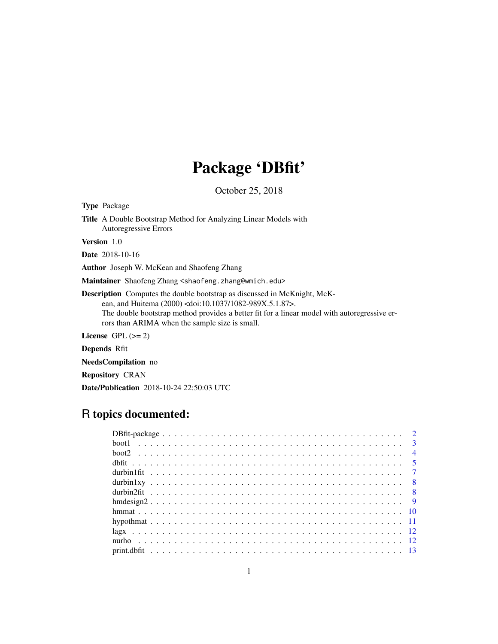# Package 'DBfit'

October 25, 2018

Type Package Title A Double Bootstrap Method for Analyzing Linear Models with Autoregressive Errors

Version 1.0

Date 2018-10-16

Author Joseph W. McKean and Shaofeng Zhang

Maintainer Shaofeng Zhang <shaofeng.zhang@wmich.edu>

Description Computes the double bootstrap as discussed in McKnight, McKean, and Huitema (2000) <doi:10.1037/1082-989X.5.1.87>. The double bootstrap method provides a better fit for a linear model with autoregressive errors than ARIMA when the sample size is small.

License GPL  $(>= 2)$ 

Depends Rfit

NeedsCompilation no

Repository CRAN

Date/Publication 2018-10-24 22:50:03 UTC

## R topics documented: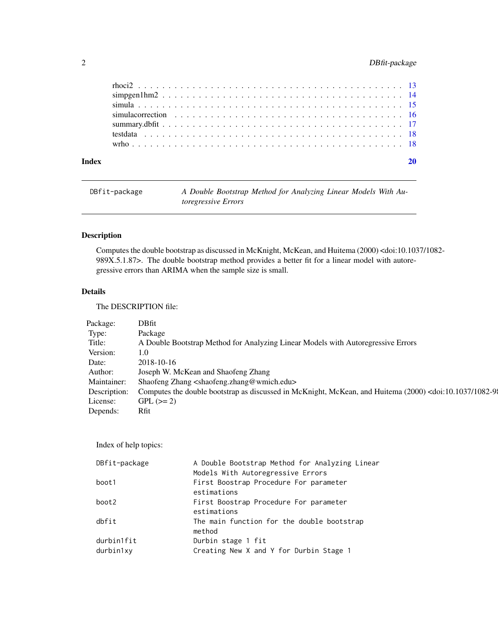## <span id="page-1-0"></span>2 DBfit-package

## DBfit-package *A Double Bootstrap Method for Analyzing Linear Models With Autoregressive Errors*

## Description

Computes the double bootstrap as discussed in McKnight, McKean, and Huitema (2000) <doi:10.1037/1082- 989X.5.1.87>. The double bootstrap method provides a better fit for a linear model with autoregressive errors than ARIMA when the sample size is small.

## Details

The DESCRIPTION file:

| Package:    | DBfit                                                                                                                                                  |  |
|-------------|--------------------------------------------------------------------------------------------------------------------------------------------------------|--|
| Type:       | Package                                                                                                                                                |  |
| Title:      | A Double Bootstrap Method for Analyzing Linear Models with Autoregressive Errors                                                                       |  |
| Version:    | 1.0                                                                                                                                                    |  |
| Date:       | 2018-10-16                                                                                                                                             |  |
| Author:     | Joseph W. McKean and Shaofeng Zhang                                                                                                                    |  |
| Maintainer: | Shaofeng Zhang <shaofeng.zhang@wmich.edu></shaofeng.zhang@wmich.edu>                                                                                   |  |
|             | Description: Computes the double bootstrap as discussed in McKnight, McKean, and Huitema (2000) <doi:10.1037 1082-91<="" td=""><td></td></doi:10.1037> |  |
| License:    | $GPL (=2)$                                                                                                                                             |  |
| Depends:    | Rfit                                                                                                                                                   |  |

Index of help topics:

| DBfit-package           | A Double Bootstrap Method for Analyzing Linear<br>Models With Autoregressive Errors |
|-------------------------|-------------------------------------------------------------------------------------|
| boot1                   | First Boostrap Procedure For parameter<br>estimations                               |
| boot2                   | First Boostrap Procedure For parameter<br>estimations                               |
| dbfit                   | The main function for the double bootstrap<br>method                                |
| durbin1fit<br>durbin1xy | Durbin stage 1 fit<br>Creating New X and Y for Durbin Stage 1                       |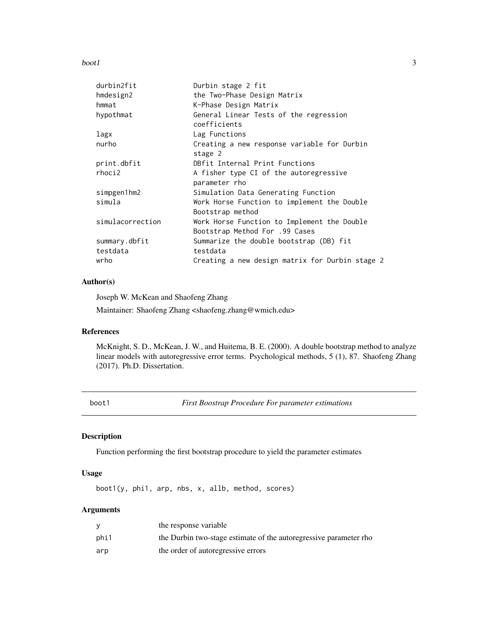#### <span id="page-2-0"></span> $\mathbf{boot1}$  3

| durbin2fit       | Durbin stage 2 fit                                                            |
|------------------|-------------------------------------------------------------------------------|
| hmdesign2        | the Two-Phase Design Matrix                                                   |
| hmmat            | K-Phase Design Matrix                                                         |
| hypothmat        | General Linear Tests of the regression<br>coefficients                        |
| lagx             | Lag Functions                                                                 |
| nurho            | Creating a new response variable for Durbin<br>stage 2                        |
| print.dbfit      | DBfit Internal Print Functions                                                |
| rhoci2           | A fisher type CI of the autoregressive<br>parameter rho                       |
| simpgen1hm2      | Simulation Data Generating Function                                           |
| simula           | Work Horse Function to implement the Double<br>Bootstrap method               |
| simulacorrection | Work Horse Function to Implement the Double<br>Bootstrap Method For .99 Cases |
| summary.dbfit    | Summarize the double bootstrap (DB) fit                                       |
| testdata         | testdata                                                                      |
| wrho             | Creating a new design matrix for Durbin stage 2                               |

## Author(s)

Joseph W. McKean and Shaofeng Zhang

Maintainer: Shaofeng Zhang <shaofeng.zhang@wmich.edu>

## References

McKnight, S. D., McKean, J. W., and Huitema, B. E. (2000). A double bootstrap method to analyze linear models with autoregressive error terms. Psychological methods, 5 (1), 87. Shaofeng Zhang (2017). Ph.D. Dissertation.

| n e<br>۰,<br>۰,<br>۰,<br>I |  |
|----------------------------|--|
|----------------------------|--|

**First Boostrap Procedure For parameter estimations** 

## Description

Function performing the first bootstrap procedure to yield the parameter estimates

## Usage

boot1(y, phi1, arp, nbs, x, allb, method, scores)

## Arguments

|      | the response variable                                             |
|------|-------------------------------------------------------------------|
| phi1 | the Durbin two-stage estimate of the autoregressive parameter rho |
| arp  | the order of autoregressive errors                                |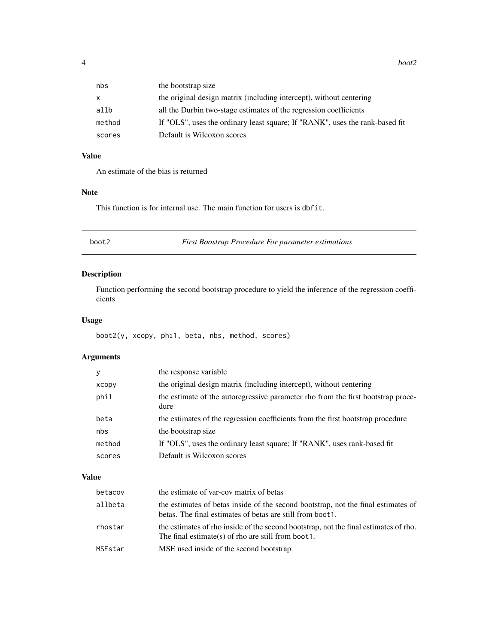<span id="page-3-0"></span>

| nbs    | the bootstrap size                                                           |
|--------|------------------------------------------------------------------------------|
| x.     | the original design matrix (including intercept), without centering          |
| allb   | all the Durbin two-stage estimates of the regression coefficients            |
| method | If "OLS", uses the ordinary least square; If "RANK", uses the rank-based fit |
| scores | Default is Wilcoxon scores                                                   |
|        |                                                                              |

## Value

An estimate of the bias is returned

## Note

This function is for internal use. The main function for users is dbfit.

## boot2 *First Boostrap Procedure For parameter estimations*

## Description

Function performing the second bootstrap procedure to yield the inference of the regression coefficients

## Usage

boot2(y, xcopy, phi1, beta, nbs, method, scores)

## Arguments

|        | the response variable                                                                    |
|--------|------------------------------------------------------------------------------------------|
| xcopy  | the original design matrix (including intercept), without centering                      |
| phi1   | the estimate of the autoregressive parameter rho from the first bootstrap proce-<br>dure |
| beta   | the estimates of the regression coefficients from the first bootstrap procedure          |
| nbs    | the bootstrap size.                                                                      |
| method | If "OLS", uses the ordinary least square; If "RANK", uses rank-based fit                 |
| scores | Default is Wilcoxon scores                                                               |

## Value

| betacov | the estimate of var-cov matrix of betas                                                                                                         |
|---------|-------------------------------------------------------------------------------------------------------------------------------------------------|
| allbeta | the estimates of betas inside of the second bootstrap, not the final estimates of<br>betas. The final estimates of betas are still from boot 1. |
| rhostar | the estimates of rho inside of the second bootstrap, not the final estimates of rho.<br>The final estimate(s) of rho are still from boot 1.     |
| MSEstar | MSE used inside of the second bootstrap.                                                                                                        |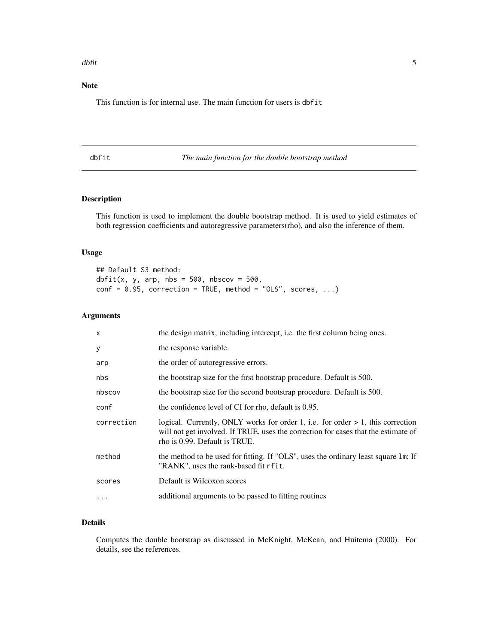#### <span id="page-4-0"></span>dbfit 5

## Note

This function is for internal use. The main function for users is dbfit

## <span id="page-4-1"></span>dbfit *The main function for the double bootstrap method*

## Description

This function is used to implement the double bootstrap method. It is used to yield estimates of both regression coefficients and autoregressive parameters(rho), and also the inference of them.

## Usage

## Default S3 method: dbfit(x, y, arp, nbs =  $500$ , nbscov =  $500$ ,  $conf = 0.95$ , correction = TRUE, method = "OLS", scores, ...)

## Arguments

| $\times$   | the design matrix, including intercept, i.e. the first column being ones.                                                                                                                                 |
|------------|-----------------------------------------------------------------------------------------------------------------------------------------------------------------------------------------------------------|
| У          | the response variable.                                                                                                                                                                                    |
| arp        | the order of autoregressive errors.                                                                                                                                                                       |
| nbs        | the bootstrap size for the first bootstrap procedure. Default is 500.                                                                                                                                     |
| nbscov     | the bootstrap size for the second bootstrap procedure. Default is 500.                                                                                                                                    |
| conf       | the confidence level of CI for rho, default is 0.95.                                                                                                                                                      |
| correction | logical. Currently, ONLY works for order 1, i.e. for order $> 1$ , this correction<br>will not get involved. If TRUE, uses the correction for cases that the estimate of<br>rho is 0.99. Default is TRUE. |
| method     | the method to be used for fitting. If "OLS", uses the ordinary least square 1m; If<br>"RANK", uses the rank-based fit rfit.                                                                               |
| scores     | Default is Wilcoxon scores                                                                                                                                                                                |
|            | additional arguments to be passed to fitting routines                                                                                                                                                     |
|            |                                                                                                                                                                                                           |

## Details

Computes the double bootstrap as discussed in McKnight, McKean, and Huitema (2000). For details, see the references.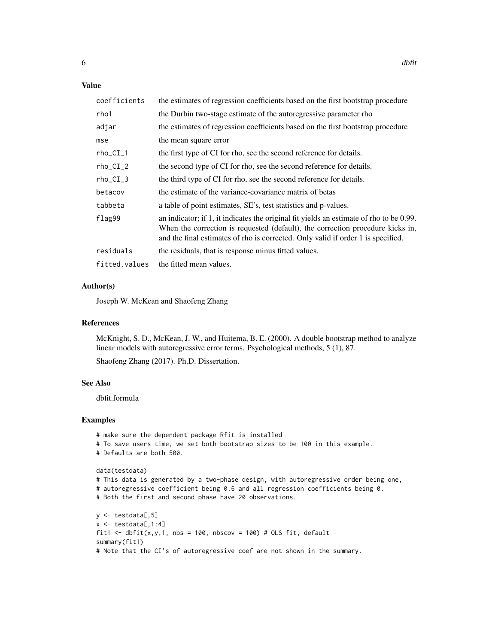## Value

| coefficients  | the estimates of regression coefficients based on the first bootstrap procedure                                                                                                                                                                               |
|---------------|---------------------------------------------------------------------------------------------------------------------------------------------------------------------------------------------------------------------------------------------------------------|
| rho1          | the Durbin two-stage estimate of the autoregressive parameter rho                                                                                                                                                                                             |
| adjar         | the estimates of regression coefficients based on the first bootstrap procedure                                                                                                                                                                               |
| mse           | the mean square error                                                                                                                                                                                                                                         |
| $rho_CI_1$    | the first type of CI for rho, see the second reference for details.                                                                                                                                                                                           |
| $rho_CI_2$    | the second type of CI for rho, see the second reference for details.                                                                                                                                                                                          |
| $rho_CI_3$    | the third type of CI for rho, see the second reference for details.                                                                                                                                                                                           |
| betacov       | the estimate of the variance-covariance matrix of betas                                                                                                                                                                                                       |
| tabbeta       | a table of point estimates, SE's, test statistics and p-values.                                                                                                                                                                                               |
| flag99        | an indicator; if 1, it indicates the original fit yields an estimate of rho to be 0.99.<br>When the correction is requested (default), the correction procedure kicks in,<br>and the final estimates of rho is corrected. Only valid if order 1 is specified. |
| residuals     | the residuals, that is response minus fitted values.                                                                                                                                                                                                          |
| fitted.values | the fitted mean values.                                                                                                                                                                                                                                       |

## Author(s)

Joseph W. McKean and Shaofeng Zhang

## References

McKnight, S. D., McKean, J. W., and Huitema, B. E. (2000). A double bootstrap method to analyze linear models with autoregressive error terms. Psychological methods, 5 (1), 87.

Shaofeng Zhang (2017). Ph.D. Dissertation.

## See Also

dbfit.formula

```
# make sure the dependent package Rfit is installed
# To save users time, we set both bootstrap sizes to be 100 in this example.
# Defaults are both 500.
data(testdata)
# This data is generated by a two-phase design, with autoregressive order being one,
# autoregressive coefficient being 0.6 and all regression coefficients being 0.
# Both the first and second phase have 20 observations.
y \leftarrow \text{testdata}[, 5]x \leftarrow \text{testdata}[, 1:4]fit1 <- dbfit(x, y, 1, nbs = 100, nbscov = 100) # OLS fit, defaultsummary(fit1)
# Note that the CI's of autoregressive coef are not shown in the summary.
```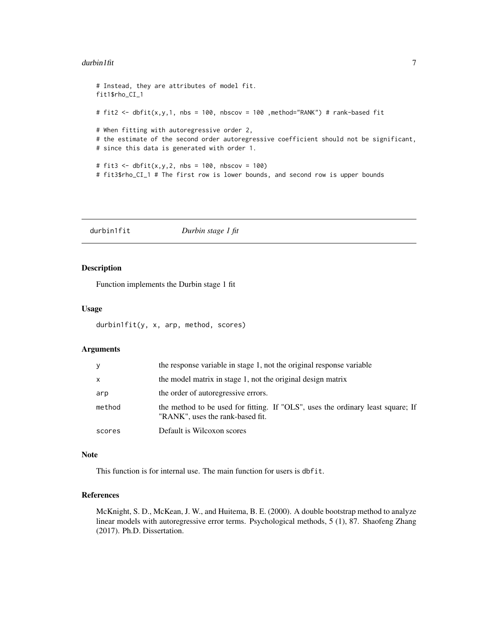#### <span id="page-6-0"></span> $\frac{d}{dt}$  durbin1fit  $\frac{1}{2}$  and  $\frac{1}{2}$  and  $\frac{1}{2}$  and  $\frac{1}{2}$  and  $\frac{1}{2}$  and  $\frac{1}{2}$  and  $\frac{1}{2}$  and  $\frac{1}{2}$  and  $\frac{1}{2}$  and  $\frac{1}{2}$  and  $\frac{1}{2}$  and  $\frac{1}{2}$  and  $\frac{1}{2}$  and  $\frac{1}{2}$  and  $\frac{$

```
# Instead, they are attributes of model fit.
fit1$rho_CI_1
# fit2 <- dbfit(x,y,1, nbs = 100, nbscov = 100 ,method="RANK") # rank-based fit
# When fitting with autoregressive order 2,
# the estimate of the second order autoregressive coefficient should not be significant,
# since this data is generated with order 1.
# fit3 \leq dbfit(x,y,2, \, \text{nbs} = 100, \, \text{nbscov} = 100)# fit3$rho_CI_1 # The first row is lower bounds, and second row is upper bounds
```
durbin1fit *Durbin stage 1 fit*

## Description

Function implements the Durbin stage 1 fit

#### Usage

durbin1fit(y, x, arp, method, scores)

## Arguments

| V      | the response variable in stage 1, not the original response variable                                                |
|--------|---------------------------------------------------------------------------------------------------------------------|
| X      | the model matrix in stage 1, not the original design matrix                                                         |
| arp    | the order of autoregressive errors.                                                                                 |
| method | the method to be used for fitting. If "OLS", uses the ordinary least square; If<br>"RANK", uses the rank-based fit. |
| scores | Default is Wilcoxon scores                                                                                          |

#### Note

This function is for internal use. The main function for users is dbfit.

## References

McKnight, S. D., McKean, J. W., and Huitema, B. E. (2000). A double bootstrap method to analyze linear models with autoregressive error terms. Psychological methods, 5 (1), 87. Shaofeng Zhang (2017). Ph.D. Dissertation.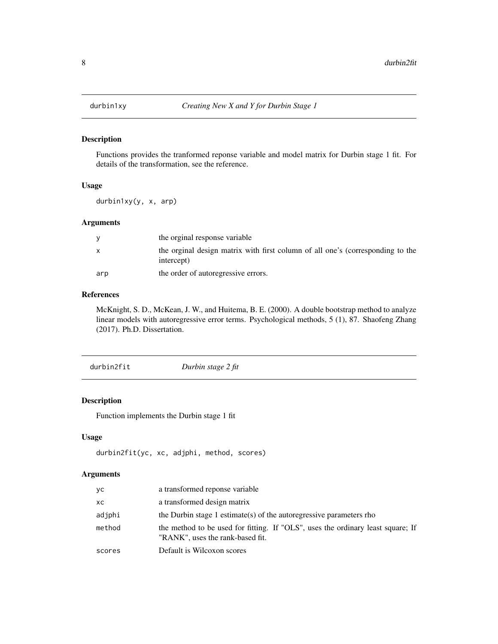<span id="page-7-0"></span>

Functions provides the tranformed reponse variable and model matrix for Durbin stage 1 fit. For details of the transformation, see the reference.

#### Usage

durbin1xy(y, x, arp)

#### Arguments

|     | the orginal response variable                                                                |
|-----|----------------------------------------------------------------------------------------------|
| X   | the orginal design matrix with first column of all one's (corresponding to the<br>intercept) |
| arp | the order of autoregressive errors.                                                          |

## References

McKnight, S. D., McKean, J. W., and Huitema, B. E. (2000). A double bootstrap method to analyze linear models with autoregressive error terms. Psychological methods, 5 (1), 87. Shaofeng Zhang (2017). Ph.D. Dissertation.

| durbin2fit | Durbin stage 2 fit |  |
|------------|--------------------|--|
|------------|--------------------|--|

## Description

Function implements the Durbin stage 1 fit

## Usage

```
durbin2fit(yc, xc, adjphi, method, scores)
```
## Arguments

| уc     | a transformed reponse variable                                                                                      |
|--------|---------------------------------------------------------------------------------------------------------------------|
| XC.    | a transformed design matrix                                                                                         |
| adjphi | the Durbin stage 1 estimate(s) of the autoregressive parameters rho                                                 |
| method | the method to be used for fitting. If "OLS", uses the ordinary least square; If<br>"RANK", uses the rank-based fit. |
| scores | Default is Wilcoxon scores                                                                                          |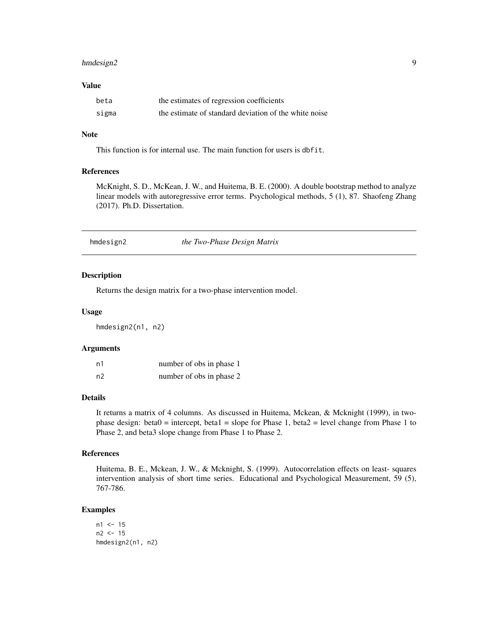## <span id="page-8-0"></span>hmdesign2 9

## Value

| beta  | the estimates of regression coefficients              |
|-------|-------------------------------------------------------|
| sigma | the estimate of standard deviation of the white noise |

## Note

This function is for internal use. The main function for users is dbfit.

#### References

McKnight, S. D., McKean, J. W., and Huitema, B. E. (2000). A double bootstrap method to analyze linear models with autoregressive error terms. Psychological methods, 5 (1), 87. Shaofeng Zhang (2017). Ph.D. Dissertation.

<span id="page-8-1"></span>hmdesign2 *the Two-Phase Design Matrix*

#### Description

Returns the design matrix for a two-phase intervention model.

## Usage

hmdesign2(n1, n2)

#### Arguments

| n1 | number of obs in phase 1 |  |
|----|--------------------------|--|
| n2 | number of obs in phase 2 |  |

## Details

It returns a matrix of 4 columns. As discussed in Huitema, Mckean, & Mcknight (1999), in twophase design: beta $0 =$  intercept, beta1 = slope for Phase 1, beta2 = level change from Phase 1 to Phase 2, and beta3 slope change from Phase 1 to Phase 2.

## References

Huitema, B. E., Mckean, J. W., & Mcknight, S. (1999). Autocorrelation effects on least- squares intervention analysis of short time series. Educational and Psychological Measurement, 59 (5), 767-786.

```
n1 < -15n2 < - 15hmdesign2(n1, n2)
```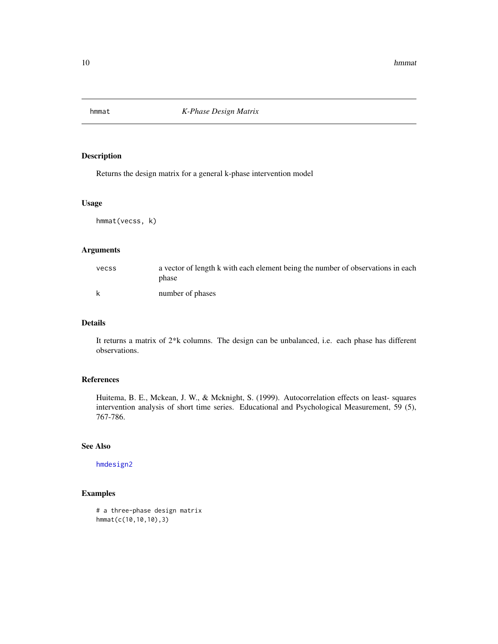<span id="page-9-0"></span>

Returns the design matrix for a general k-phase intervention model

#### Usage

hmmat(vecss, k)

## Arguments

| vecss | a vector of length k with each element being the number of observations in each<br>phase |
|-------|------------------------------------------------------------------------------------------|
| k     | number of phases                                                                         |

## Details

It returns a matrix of 2\*k columns. The design can be unbalanced, i.e. each phase has different observations.

## References

Huitema, B. E., Mckean, J. W., & Mcknight, S. (1999). Autocorrelation effects on least- squares intervention analysis of short time series. Educational and Psychological Measurement, 59 (5), 767-786.

#### See Also

[hmdesign2](#page-8-1)

```
# a three-phase design matrix
hmmat(c(10,10,10),3)
```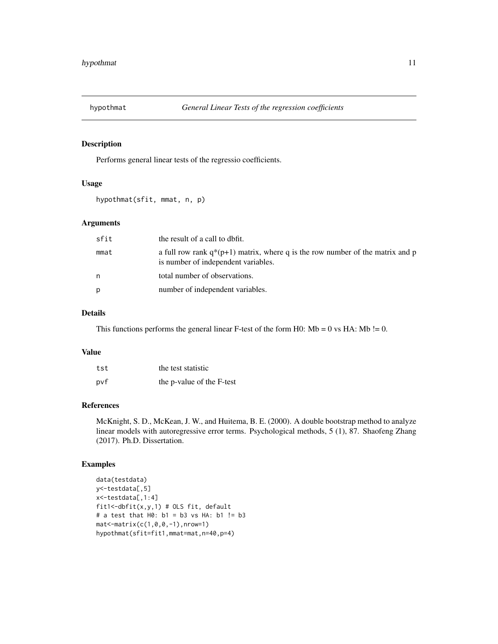<span id="page-10-0"></span>

Performs general linear tests of the regressio coefficients.

## Usage

hypothmat(sfit, mmat, n, p)

## Arguments

| sfit | the result of a call to dbfit.                                                                                          |
|------|-------------------------------------------------------------------------------------------------------------------------|
| mmat | a full row rank $q^*(p+1)$ matrix, where q is the row number of the matrix and p<br>is number of independent variables. |
| n    | total number of observations.                                                                                           |
| p    | number of independent variables.                                                                                        |

## Details

This functions performs the general linear F-test of the form H0:  $Mb = 0$  vs HA:  $Mb := 0$ .

## Value

| tst | the test statistic        |
|-----|---------------------------|
| pvf | the p-value of the F-test |

#### References

McKnight, S. D., McKean, J. W., and Huitema, B. E. (2000). A double bootstrap method to analyze linear models with autoregressive error terms. Psychological methods, 5 (1), 87. Shaofeng Zhang (2017). Ph.D. Dissertation.

```
data(testdata)
y<-testdata[,5]
x<-testdata[,1:4]
fit1<-dbfit(x,y,1) # OLS fit, default
# a test that H0: b1 = b3 vs HA: b1 != b3
mat<-matrix(c(1,0,0,-1),nrow=1)
hypothmat(sfit=fit1,mmat=mat,n=40,p=4)
```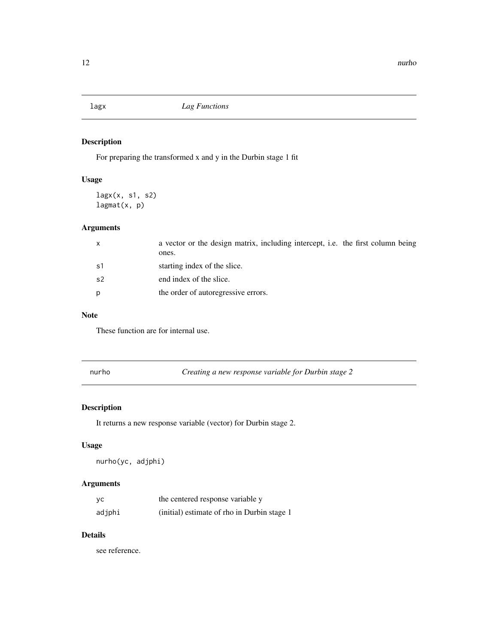<span id="page-11-0"></span>

For preparing the transformed x and y in the Durbin stage 1 fit

## Usage

lagx(x, s1, s2) lagmat(x, p)

## Arguments

| $\mathsf{x}$ | a vector or the design matrix, including intercept, i.e. the first column being<br>ones. |
|--------------|------------------------------------------------------------------------------------------|
| -s1          | starting index of the slice.                                                             |
| s2           | end index of the slice.                                                                  |
| p            | the order of autoregressive errors.                                                      |

## Note

These function are for internal use.

nurho *Creating a new response variable for Durbin stage 2*

## Description

It returns a new response variable (vector) for Durbin stage 2.

## Usage

nurho(yc, adjphi)

## Arguments

| yс     | the centered response variable y            |
|--------|---------------------------------------------|
| adjphi | (initial) estimate of rho in Durbin stage 1 |

## Details

see reference.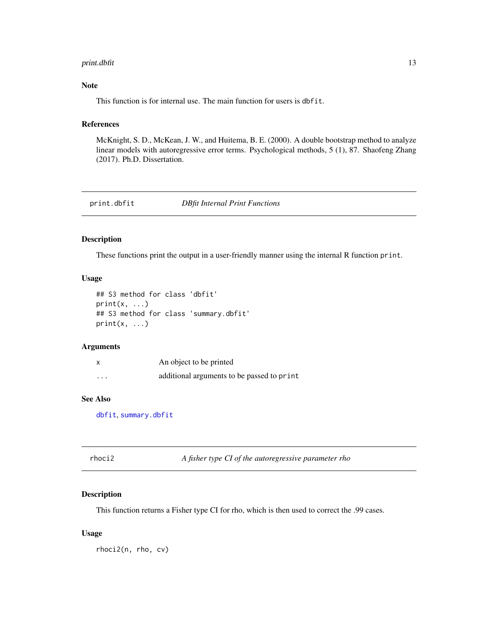#### <span id="page-12-0"></span>print.dbfit 13

## Note

This function is for internal use. The main function for users is dbfit.

#### References

McKnight, S. D., McKean, J. W., and Huitema, B. E. (2000). A double bootstrap method to analyze linear models with autoregressive error terms. Psychological methods, 5 (1), 87. Shaofeng Zhang (2017). Ph.D. Dissertation.

print.dbfit *DBfit Internal Print Functions*

#### Description

These functions print the output in a user-friendly manner using the internal R function print.

#### Usage

```
## S3 method for class 'dbfit'
print(x, \ldots)## S3 method for class 'summary.dbfit'
print(x, \ldots)
```
## Arguments

|          | An object to be printed                    |
|----------|--------------------------------------------|
| $\cdots$ | additional arguments to be passed to print |

## See Also

[dbfit](#page-4-1), [summary.dbfit](#page-16-1)

## Description

This function returns a Fisher type CI for rho, which is then used to correct the .99 cases.

## Usage

rhoci2(n, rho, cv)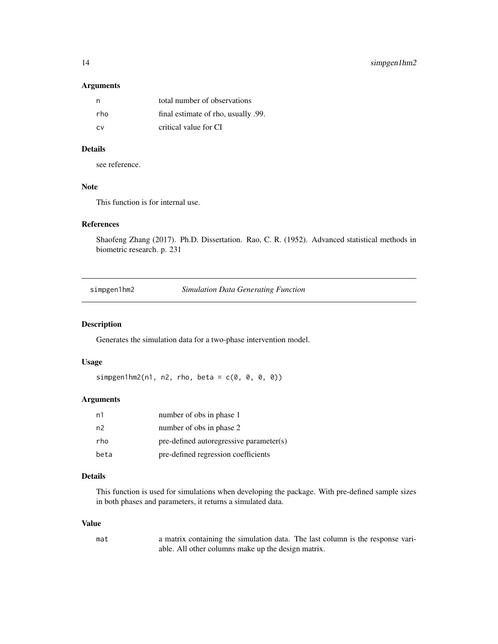## Arguments

| n,   | total number of observations        |
|------|-------------------------------------|
| rho. | final estimate of rho, usually .99. |
| CV.  | critical value for CI               |

## Details

see reference.

## Note

This function is for internal use.

## References

Shaofeng Zhang (2017). Ph.D. Dissertation. Rao, C. R. (1952). Advanced statistical methods in biometric research. p. 231

simpgen1hm2 *Simulation Data Generating Function*

## Description

Generates the simulation data for a two-phase intervention model.

## Usage

 $simplgen1hm2(n1, n2, rho, beta = c(0, 0, 0, 0))$ 

## Arguments

| n1             | number of obs in phase 1                |
|----------------|-----------------------------------------|
| n <sup>2</sup> | number of obs in phase 2                |
| rho            | pre-defined autoregressive parameter(s) |
| beta           | pre-defined regression coefficients     |

#### Details

This function is used for simulations when developing the package. With pre-defined sample sizes in both phases and parameters, it returns a simulated data.

## Value

| mat | a matrix containing the simulation data. The last column is the response vari- |
|-----|--------------------------------------------------------------------------------|
|     | able. All other columns make up the design matrix.                             |

<span id="page-13-0"></span>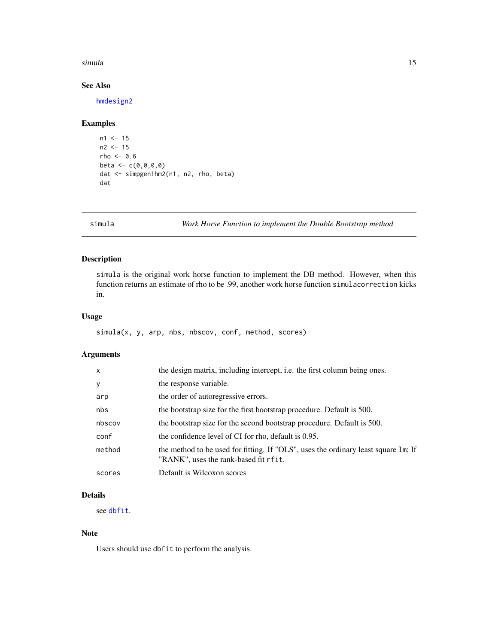#### <span id="page-14-0"></span>simula and the state of the state of the state of the state of the state of the state of the state of the state of the state of the state of the state of the state of the state of the state of the state of the state of the

## See Also

[hmdesign2](#page-8-1)

## Examples

```
n1 < -15n2 < - 15rho <-0.6beta < -c(0,0,0,0)dat <- simpgen1hm2(n1, n2, rho, beta)
dat
```
simula *Work Horse Function to implement the Double Bootstrap method*

## Description

simula is the original work horse function to implement the DB method. However, when this function returns an estimate of rho to be .99, another work horse function simulacorrection kicks in.

## Usage

simula(x, y, arp, nbs, nbscov, conf, method, scores)

## Arguments

| $\mathsf{x}$ | the design matrix, including intercept, i.e. the first column being ones.                                                   |
|--------------|-----------------------------------------------------------------------------------------------------------------------------|
| y            | the response variable.                                                                                                      |
| arp          | the order of autoregressive errors.                                                                                         |
| nbs          | the bootstrap size for the first bootstrap procedure. Default is 500.                                                       |
| nbscov       | the bootstrap size for the second bootstrap procedure. Default is 500.                                                      |
| conf         | the confidence level of CI for rho, default is 0.95.                                                                        |
| method       | the method to be used for fitting. If "OLS", uses the ordinary least square 1m; If<br>"RANK", uses the rank-based fit rfit. |
| scores       | Default is Wilcoxon scores                                                                                                  |

## Details

see [dbfit](#page-4-1).

#### Note

Users should use dbfit to perform the analysis.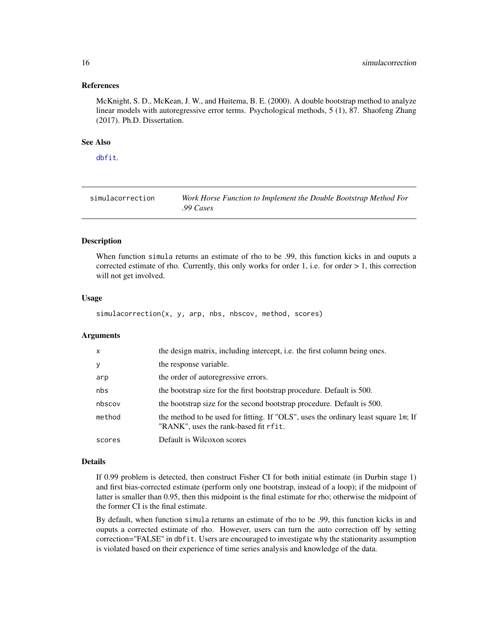#### <span id="page-15-0"></span>References

McKnight, S. D., McKean, J. W., and Huitema, B. E. (2000). A double bootstrap method to analyze linear models with autoregressive error terms. Psychological methods, 5 (1), 87. Shaofeng Zhang (2017). Ph.D. Dissertation.

## See Also

[dbfit](#page-4-1).

| simulacorrection | Work Horse Function to Implement the Double Bootstrap Method For |
|------------------|------------------------------------------------------------------|
|                  | .99 $\mathcal{C}$ ases                                           |

## Description

When function simula returns an estimate of rho to be .99, this function kicks in and ouputs a corrected estimate of rho. Currently, this only works for order 1, i.e. for order  $> 1$ , this correction will not get involved.

#### Usage

simulacorrection(x, y, arp, nbs, nbscov, method, scores)

#### Arguments

| x      | the design matrix, including intercept, i.e. the first column being ones.                                                   |
|--------|-----------------------------------------------------------------------------------------------------------------------------|
| У      | the response variable.                                                                                                      |
| arp    | the order of autoregressive errors.                                                                                         |
| nbs    | the bootstrap size for the first bootstrap procedure. Default is 500.                                                       |
| nbscov | the bootstrap size for the second bootstrap procedure. Default is 500.                                                      |
| method | the method to be used for fitting. If "OLS", uses the ordinary least square 1m; If<br>"RANK", uses the rank-based fit rfit. |
| scores | Default is Wilcoxon scores                                                                                                  |

#### Details

If 0.99 problem is detected, then construct Fisher CI for both initial estimate (in Durbin stage 1) and first bias-corrected estimate (perform only one bootstrap, instead of a loop); if the midpoint of latter is smaller than 0.95, then this midpoint is the final estimate for rho; otherwise the midpoint of the former CI is the final estimate.

By default, when function simula returns an estimate of rho to be .99, this function kicks in and ouputs a corrected estimate of rho. However, users can turn the auto correction off by setting correction="FALSE" in dbfit. Users are encouraged to investigate why the stationarity assumption is violated based on their experience of time series analysis and knowledge of the data.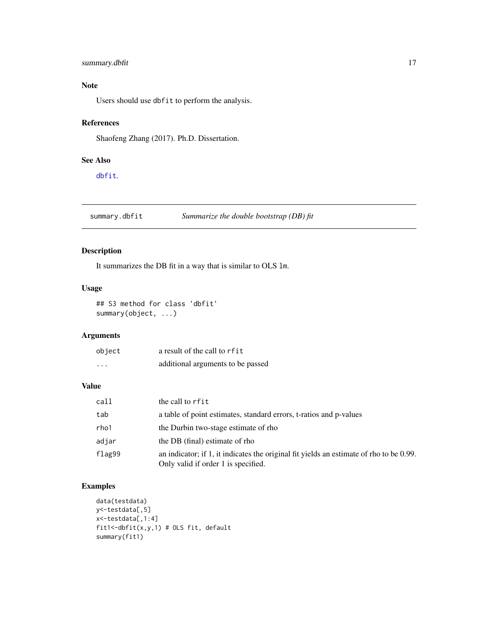## <span id="page-16-0"></span>summary.dbfit 17

## Note

Users should use dbfit to perform the analysis.

## References

Shaofeng Zhang (2017). Ph.D. Dissertation.

## See Also

[dbfit](#page-4-1).

<span id="page-16-1"></span>summary.dbfit *Summarize the double bootstrap (DB) fit*

## Description

It summarizes the DB fit in a way that is similar to OLS lm.

## Usage

```
## S3 method for class 'dbfit'
summary(object, ...)
```
## Arguments

| object   | a result of the call to rfit      |
|----------|-----------------------------------|
| $\cdots$ | additional arguments to be passed |

## Value

| call   | the call to rfit                                                                                                               |
|--------|--------------------------------------------------------------------------------------------------------------------------------|
| tab    | a table of point estimates, standard errors, t-ratios and p-values                                                             |
| rho1   | the Durbin two-stage estimate of rho                                                                                           |
| adjar  | the DB (final) estimate of rho                                                                                                 |
| flag99 | an indicator; if 1, it indicates the original fit yields an estimate of rho to be 0.99.<br>Only valid if order 1 is specified. |

```
data(testdata)
y<-testdata[,5]
x<-testdata[,1:4]
fit1<-dbfit(x,y,1) # OLS fit, default
summary(fit1)
```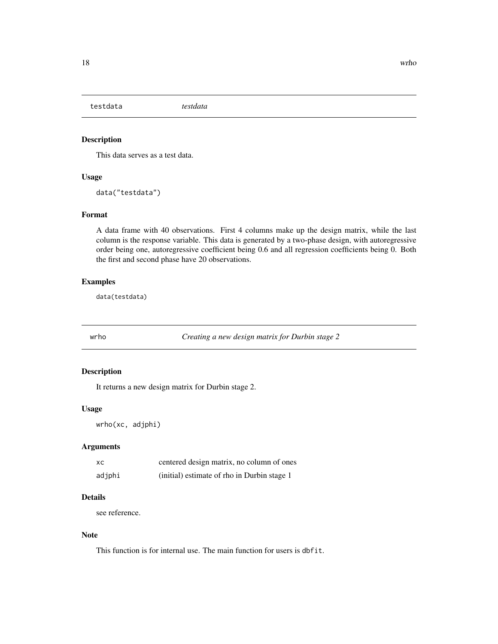<span id="page-17-0"></span>testdata *testdata*

## Description

This data serves as a test data.

#### Usage

data("testdata")

## Format

A data frame with 40 observations. First 4 columns make up the design matrix, while the last column is the response variable. This data is generated by a two-phase design, with autoregressive order being one, autoregressive coefficient being 0.6 and all regression coefficients being 0. Both the first and second phase have 20 observations.

## Examples

data(testdata)

wrho *Creating a new design matrix for Durbin stage 2*

## Description

It returns a new design matrix for Durbin stage 2.

#### Usage

```
wrho(xc, adjphi)
```
## Arguments

| xc     | centered design matrix, no column of ones   |
|--------|---------------------------------------------|
| adjphi | (initial) estimate of rho in Durbin stage 1 |

## Details

see reference.

## Note

This function is for internal use. The main function for users is dbfit.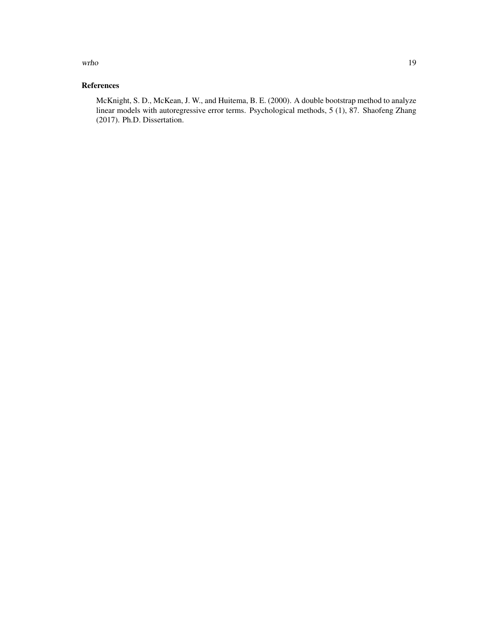wrho the contract of the contract of the contract of the contract of the contract of the contract of the contract of the contract of the contract of the contract of the contract of the contract of the contract of the contr

## References

McKnight, S. D., McKean, J. W., and Huitema, B. E. (2000). A double bootstrap method to analyze linear models with autoregressive error terms. Psychological methods, 5 (1), 87. Shaofeng Zhang (2017). Ph.D. Dissertation.